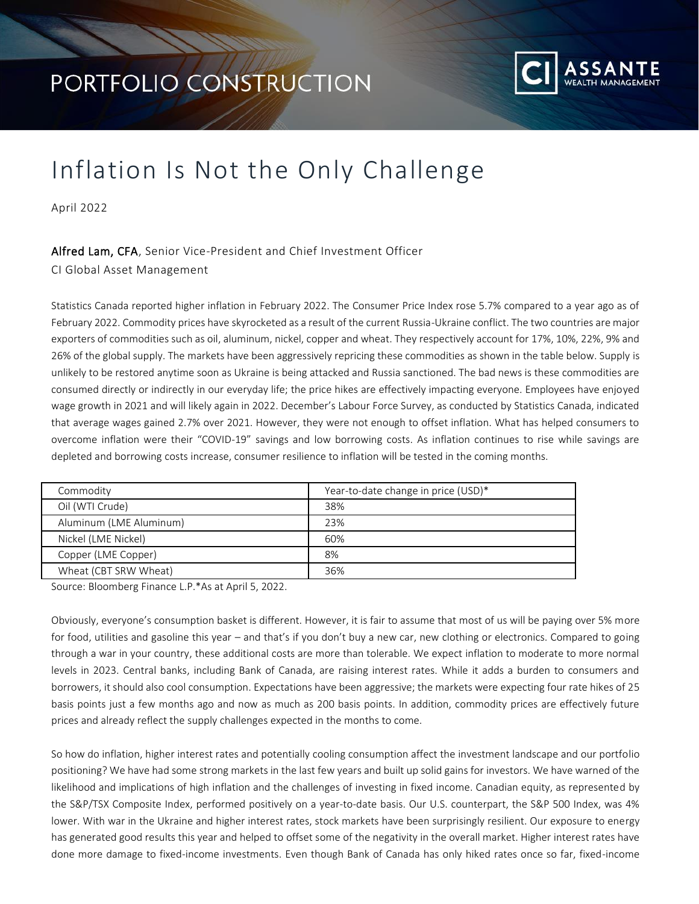

## Inflation Is Not the Only Challenge

April 2022

## Alfred Lam, CFA, Senior Vice-President and Chief Investment Officer

CI Global Asset Management

Statistics Canada reported higher inflation in February 2022. The Consumer Price Index rose 5.7% compared to a year ago as of February 2022. Commodity prices have skyrocketed as a result of the current Russia-Ukraine conflict. The two countries are major exporters of commodities such as oil, aluminum, nickel, copper and wheat. They respectively account for 17%, 10%, 22%, 9% and 26% of the global supply. The markets have been aggressively repricing these commodities as shown in the table below. Supply is unlikely to be restored anytime soon as Ukraine is being attacked and Russia sanctioned. The bad news is these commodities are consumed directly or indirectly in our everyday life; the price hikes are effectively impacting everyone. Employees have enjoyed wage growth in 2021 and will likely again in 2022. December's Labour Force Survey, as conducted by Statistics Canada, indicated that average wages gained 2.7% over 2021. However, they were not enough to offset inflation. What has helped consumers to overcome inflation were their "COVID-19" savings and low borrowing costs. As inflation continues to rise while savings are depleted and borrowing costs increase, consumer resilience to inflation will be tested in the coming months.

| Commodity               | Year-to-date change in price (USD)* |  |  |
|-------------------------|-------------------------------------|--|--|
| Oil (WTI Crude)         | 38%                                 |  |  |
| Aluminum (LME Aluminum) | 23%                                 |  |  |
| Nickel (LME Nickel)     | 60%                                 |  |  |
| Copper (LME Copper)     | 8%                                  |  |  |
| Wheat (CBT SRW Wheat)   | 36%                                 |  |  |
|                         |                                     |  |  |

Source: Bloomberg Finance L.P.\*As at April 5, 2022.

Obviously, everyone's consumption basket is different. However, it is fair to assume that most of us will be paying over 5% more for food, utilities and gasoline this year – and that's if you don't buy a new car, new clothing or electronics. Compared to going through a war in your country, these additional costs are more than tolerable. We expect inflation to moderate to more normal levels in 2023. Central banks, including Bank of Canada, are raising interest rates. While it adds a burden to consumers and borrowers, it should also cool consumption. Expectations have been aggressive; the markets were expecting four rate hikes of 25 basis points just a few months ago and now as much as 200 basis points. In addition, commodity prices are effectively future prices and already reflect the supply challenges expected in the months to come.

So how do inflation, higher interest rates and potentially cooling consumption affect the investment landscape and our portfolio positioning? We have had some strong markets in the last few years and built up solid gains for investors. We have warned of the likelihood and implications of high inflation and the challenges of investing in fixed income. Canadian equity, as represented by the S&P/TSX Composite Index, performed positively on a year-to-date basis. Our U.S. counterpart, the S&P 500 Index, was 4% lower. With war in the Ukraine and higher interest rates, stock markets have been surprisingly resilient. Our exposure to energy has generated good results this year and helped to offset some of the negativity in the overall market. Higher interest rates have done more damage to fixed-income investments. Even though Bank of Canada has only hiked rates once so far, fixed-income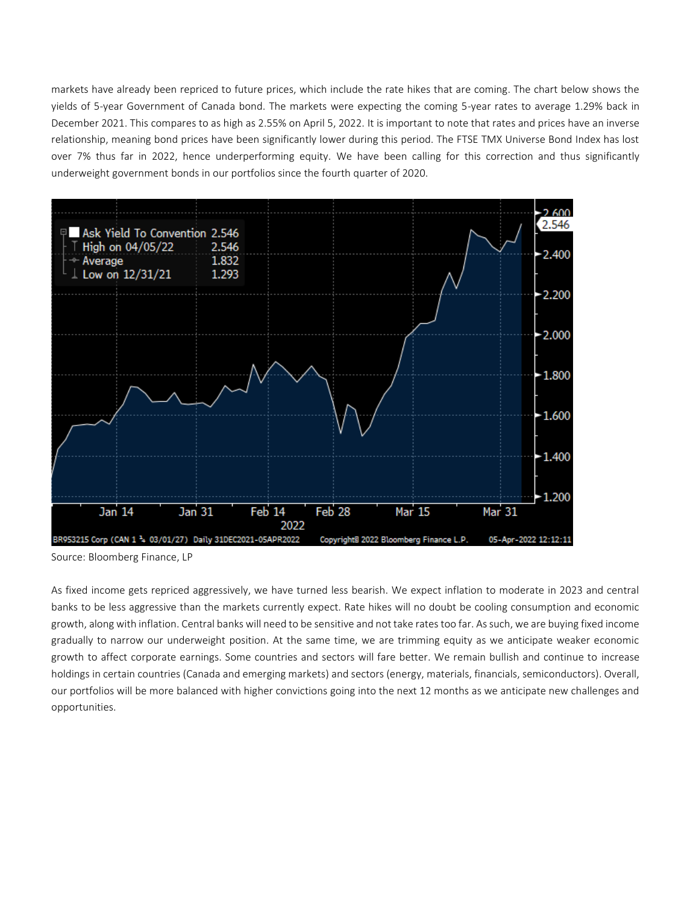markets have already been repriced to future prices, which include the rate hikes that are coming. The chart below shows the yields of 5-year Government of Canada bond. The markets were expecting the coming 5-year rates to average 1.29% back in December 2021. This compares to as high as 2.55% on April 5, 2022. It is important to note that rates and prices have an inverse relationship, meaning bond prices have been significantly lower during this period. The FTSE TMX Universe Bond Index has lost over 7% thus far in 2022, hence underperforming equity. We have been calling for this correction and thus significantly underweight government bonds in our portfolios since the fourth quarter of 2020.



Source: Bloomberg Finance, LP

As fixed income gets repriced aggressively, we have turned less bearish. We expect inflation to moderate in 2023 and central banks to be less aggressive than the markets currently expect. Rate hikes will no doubt be cooling consumption and economic growth, along with inflation. Central banks will need to be sensitive and not take rates too far. As such, we are buying fixed income gradually to narrow our underweight position. At the same time, we are trimming equity as we anticipate weaker economic growth to affect corporate earnings. Some countries and sectors will fare better. We remain bullish and continue to increase holdings in certain countries (Canada and emerging markets) and sectors (energy, materials, financials, semiconductors). Overall, our portfolios will be more balanced with higher convictions going into the next 12 months as we anticipate new challenges and opportunities.